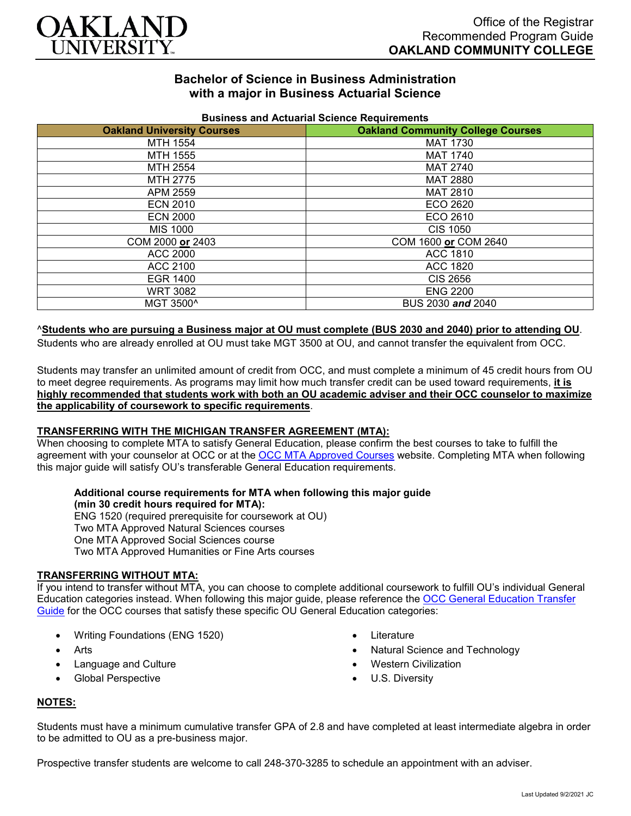

# **Bachelor of Science in Business Administration with a major in Business Actuarial Science**

| <b>Oakland University Courses</b> | <b>Oakland Community College Courses</b> |
|-----------------------------------|------------------------------------------|
| MTH 1554                          | <b>MAT 1730</b>                          |
| MTH 1555                          | <b>MAT 1740</b>                          |
| MTH 2554                          | <b>MAT 2740</b>                          |
| MTH 2775                          | <b>MAT 2880</b>                          |
| APM 2559                          | <b>MAT 2810</b>                          |
| <b>ECN 2010</b>                   | ECO 2620                                 |
| <b>ECN 2000</b>                   | ECO 2610                                 |
| <b>MIS 1000</b>                   | <b>CIS 1050</b>                          |
| COM 2000 or 2403                  | COM 1600 or COM 2640                     |
| ACC 2000                          | ACC 1810                                 |
| ACC 2100                          | ACC 1820                                 |
| EGR 1400                          | CIS 2656                                 |
| <b>WRT 3082</b>                   | <b>ENG 2200</b>                          |
| MGT 3500^                         | BUS 2030 and 2040                        |

## **Business and Actuarial Science Requirements**

### ^**Students who are pursuing a Business major at OU must complete (BUS 2030 and 2040) prior to attending OU**.

Students who are already enrolled at OU must take MGT 3500 at OU, and cannot transfer the equivalent from OCC.

Students may transfer an unlimited amount of credit from OCC, and must complete a minimum of 45 credit hours from OU to meet degree requirements. As programs may limit how much transfer credit can be used toward requirements, **it is highly recommended that students work with both an OU academic adviser and their OCC counselor to maximize the applicability of coursework to specific requirements**.

### **TRANSFERRING WITH THE MICHIGAN TRANSFER AGREEMENT (MTA):**

When choosing to complete MTA to satisfy General Education, please confirm the best courses to take to fulfill the agreement with your counselor at OCC or at the [OCC MTA Approved Courses](http://catalog.oaklandcc.edu/graduation-requirements/michigan-transfer-agreement/) website. Completing MTA when following this major guide will satisfy OU's transferable General Education requirements.

#### **Additional course requirements for MTA when following this major guide (min 30 credit hours required for MTA):**

ENG 1520 (required prerequisite for coursework at OU) Two MTA Approved Natural Sciences courses One MTA Approved Social Sciences course Two MTA Approved Humanities or Fine Arts courses

### **TRANSFERRING WITHOUT MTA:**

If you intend to transfer without MTA, you can choose to complete additional coursework to fulfill OU's individual General Education categories instead. When following this major guide, please reference the OCC General Education Transfer [Guide](https://www.oakland.edu/Assets/Oakland/program-guides/oakland-community-college/university-general-education-requirements/OCC%20Gen%20Ed.pdf) for the OCC courses that satisfy these specific OU General Education categories:

- Writing Foundations (ENG 1520)
- Arts
- Language and Culture
- Global Perspective
- Literature
- Natural Science and Technology
- Western Civilization
- U.S. Diversity

## **NOTES:**

Students must have a minimum cumulative transfer GPA of 2.8 and have completed at least intermediate algebra in order to be admitted to OU as a pre-business major.

Prospective transfer students are welcome to call 248-370-3285 to schedule an appointment with an adviser.